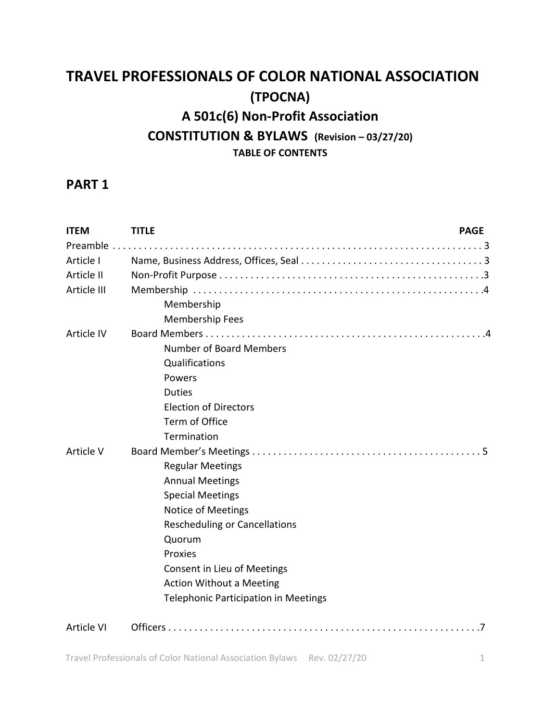# **TRAVEL PROFESSIONALS OF COLOR NATIONAL ASSOCIATION (TPOCNA) A 501c(6) Non-Profit Association CONSTITUTION & BYLAWS (Revision – 03/27/20) TABLE OF CONTENTS**

# **PART 1**

| <b>ITEM</b> | <b>TITLE</b><br><b>PAGE</b>                 |
|-------------|---------------------------------------------|
|             |                                             |
| Article I   |                                             |
| Article II  |                                             |
| Article III |                                             |
|             | Membership                                  |
|             | <b>Membership Fees</b>                      |
| Article IV  |                                             |
|             | Number of Board Members                     |
|             | Qualifications                              |
|             | Powers                                      |
|             | <b>Duties</b>                               |
|             | <b>Election of Directors</b>                |
|             | Term of Office                              |
|             | Termination                                 |
| Article V   |                                             |
|             | <b>Regular Meetings</b>                     |
|             | <b>Annual Meetings</b>                      |
|             | <b>Special Meetings</b>                     |
|             | <b>Notice of Meetings</b>                   |
|             | <b>Rescheduling or Cancellations</b>        |
|             | Quorum                                      |
|             | Proxies                                     |
|             | Consent in Lieu of Meetings                 |
|             | <b>Action Without a Meeting</b>             |
|             | <b>Telephonic Participation in Meetings</b> |
| Article VI  |                                             |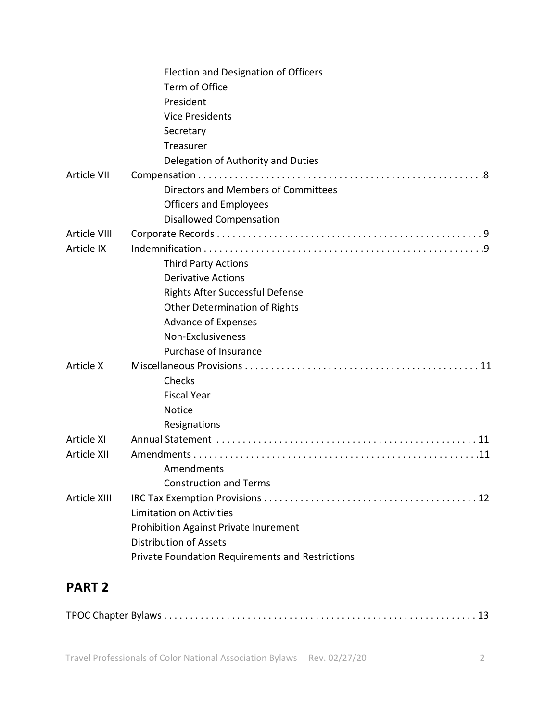|              | Election and Designation of Officers                    |
|--------------|---------------------------------------------------------|
|              | Term of Office                                          |
|              | President                                               |
|              | <b>Vice Presidents</b>                                  |
|              | Secretary                                               |
|              | Treasurer                                               |
|              | Delegation of Authority and Duties                      |
| Article VII  |                                                         |
|              | Directors and Members of Committees                     |
|              | <b>Officers and Employees</b>                           |
|              | <b>Disallowed Compensation</b>                          |
| Article VIII |                                                         |
| Article IX   |                                                         |
|              | <b>Third Party Actions</b>                              |
|              | <b>Derivative Actions</b>                               |
|              | <b>Rights After Successful Defense</b>                  |
|              | <b>Other Determination of Rights</b>                    |
|              | <b>Advance of Expenses</b>                              |
|              | Non-Exclusiveness                                       |
|              | Purchase of Insurance                                   |
| Article X    |                                                         |
|              | Checks                                                  |
|              | <b>Fiscal Year</b>                                      |
|              | <b>Notice</b>                                           |
|              | Resignations                                            |
| Article XI   |                                                         |
| Article XII  |                                                         |
|              | Amendments                                              |
|              | <b>Construction and Terms</b>                           |
| Article XIII |                                                         |
|              | <b>Limitation on Activities</b>                         |
|              | Prohibition Against Private Inurement                   |
|              | <b>Distribution of Assets</b>                           |
|              | <b>Private Foundation Requirements and Restrictions</b> |
|              |                                                         |

# **PART 2**

|--|--|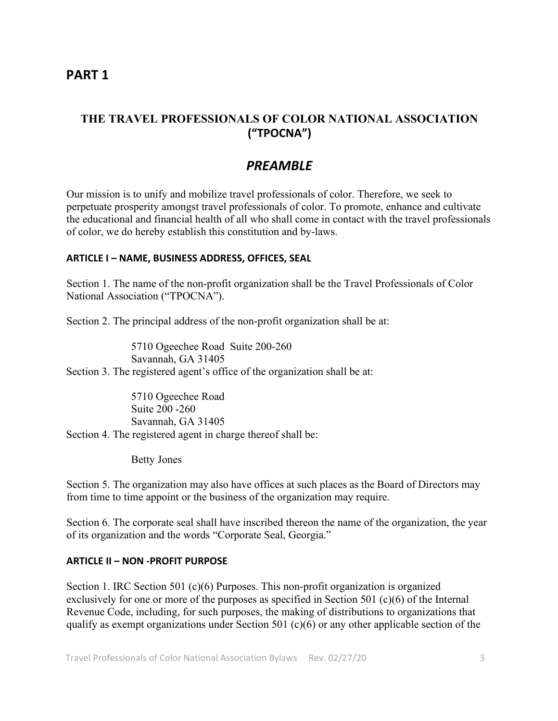### **PART 1**

### **THE TRAVEL PROFESSIONALS OF COLOR NATIONAL ASSOCIATION ("TPOCNA")**

## *PREAMBLE*

Our mission is to unify and mobilize travel professionals of color. Therefore, we seek to perpetuate prosperity amongst travel professionals of color. To promote, enhance and cultivate the educational and financial health of all who shall come in contact with the travel professionals of color, we do hereby establish this constitution and by-laws.

#### **ARTICLE I – NAME, BUSINESS ADDRESS, OFFICES, SEAL**

Section 1. The name of the non-profit organization shall be the Travel Professionals of Color National Association ("TPOCNA").

Section 2. The principal address of the non-profit organization shall be at:

5710 Ogeechee Road Suite 200-260 Savannah, GA 31405 Section 3. The registered agent's office of the organization shall be at:

5710 Ogeechee Road Suite 200 -260 Savannah, GA 31405 Section 4. The registered agent in charge thereof shall be:

Betty Jones

Section 5. The organization may also have offices at such places as the Board of Directors may from time to time appoint or the business of the organization may require.

Section 6. The corporate seal shall have inscribed thereon the name of the organization, the year of its organization and the words "Corporate Seal, Georgia."

#### **ARTICLE II – NON -PROFIT PURPOSE**

Section 1. IRC Section 501 (c)(6) Purposes. This non-profit organization is organized exclusively for one or more of the purposes as specified in Section 501 (c)(6) of the Internal Revenue Code, including, for such purposes, the making of distributions to organizations that qualify as exempt organizations under Section 501 (c)(6) or any other applicable section of the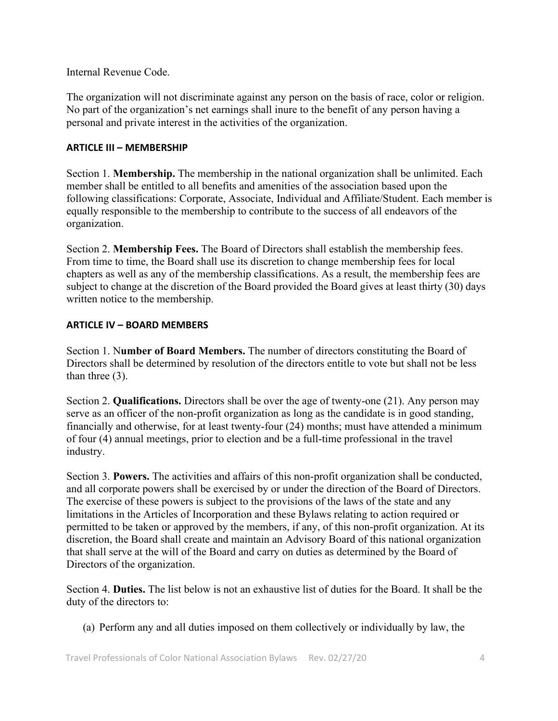Internal Revenue Code.

The organization will not discriminate against any person on the basis of race, color or religion. No part of the organization's net earnings shall inure to the benefit of any person having a personal and private interest in the activities of the organization.

### **ARTICLE III – MEMBERSHIP**

Section 1. **Membership.** The membership in the national organization shall be unlimited. Each member shall be entitled to all benefits and amenities of the association based upon the following classifications: Corporate, Associate, Individual and Affiliate/Student. Each member is equally responsible to the membership to contribute to the success of all endeavors of the organization.

Section 2. **Membership Fees.** The Board of Directors shall establish the membership fees. From time to time, the Board shall use its discretion to change membership fees for local chapters as well as any of the membership classifications. As a result, the membership fees are subject to change at the discretion of the Board provided the Board gives at least thirty (30) days written notice to the membership.

### **ARTICLE IV – BOARD MEMBERS**

Section 1. N**umber of Board Members.** The number of directors constituting the Board of Directors shall be determined by resolution of the directors entitle to vote but shall not be less than three (3).

Section 2. **Qualifications.** Directors shall be over the age of twenty-one (21). Any person may serve as an officer of the non-profit organization as long as the candidate is in good standing, financially and otherwise, for at least twenty-four (24) months; must have attended a minimum of four (4) annual meetings, prior to election and be a full-time professional in the travel industry.

Section 3. **Powers.** The activities and affairs of this non-profit organization shall be conducted, and all corporate powers shall be exercised by or under the direction of the Board of Directors. The exercise of these powers is subject to the provisions of the laws of the state and any limitations in the Articles of Incorporation and these Bylaws relating to action required or permitted to be taken or approved by the members, if any, of this non-profit organization. At its discretion, the Board shall create and maintain an Advisory Board of this national organization that shall serve at the will of the Board and carry on duties as determined by the Board of Directors of the organization.

Section 4. **Duties.** The list below is not an exhaustive list of duties for the Board. It shall be the duty of the directors to:

(a) Perform any and all duties imposed on them collectively or individually by law, the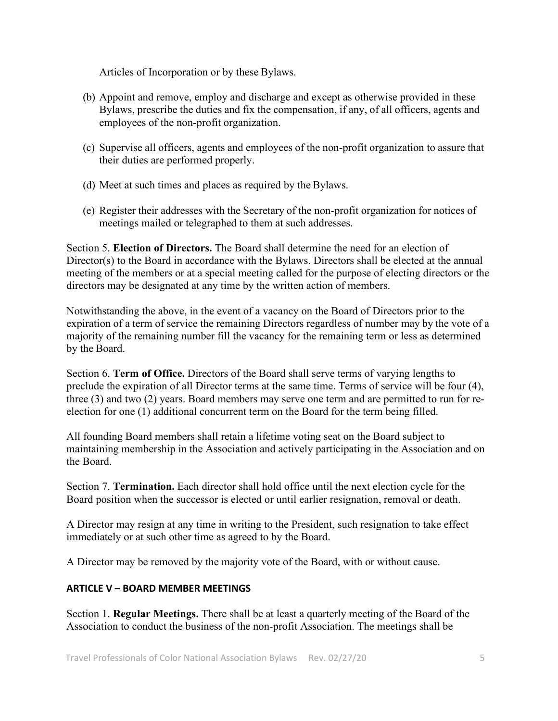Articles of Incorporation or by these Bylaws.

- (b) Appoint and remove, employ and discharge and except as otherwise provided in these Bylaws, prescribe the duties and fix the compensation, if any, of all officers, agents and employees of the non-profit organization.
- (c) Supervise all officers, agents and employees of the non-profit organization to assure that their duties are performed properly.
- (d) Meet at such times and places as required by the Bylaws.
- (e) Register their addresses with the Secretary of the non-profit organization for notices of meetings mailed or telegraphed to them at such addresses.

Section 5. **Election of Directors.** The Board shall determine the need for an election of Director(s) to the Board in accordance with the Bylaws. Directors shall be elected at the annual meeting of the members or at a special meeting called for the purpose of electing directors or the directors may be designated at any time by the written action of members.

Notwithstanding the above, in the event of a vacancy on the Board of Directors prior to the expiration of a term of service the remaining Directors regardless of number may by the vote of a majority of the remaining number fill the vacancy for the remaining term or less as determined by the Board.

Section 6. **Term of Office.** Directors of the Board shall serve terms of varying lengths to preclude the expiration of all Director terms at the same time. Terms of service will be four (4), three (3) and two (2) years. Board members may serve one term and are permitted to run for reelection for one (1) additional concurrent term on the Board for the term being filled.

All founding Board members shall retain a lifetime voting seat on the Board subject to maintaining membership in the Association and actively participating in the Association and on the Board.

Section 7. **Termination.** Each director shall hold office until the next election cycle for the Board position when the successor is elected or until earlier resignation, removal or death.

A Director may resign at any time in writing to the President, such resignation to take effect immediately or at such other time as agreed to by the Board.

A Director may be removed by the majority vote of the Board, with or without cause.

### **ARTICLE V – BOARD MEMBER MEETINGS**

Section 1. **Regular Meetings.** There shall be at least a quarterly meeting of the Board of the Association to conduct the business of the non-profit Association. The meetings shall be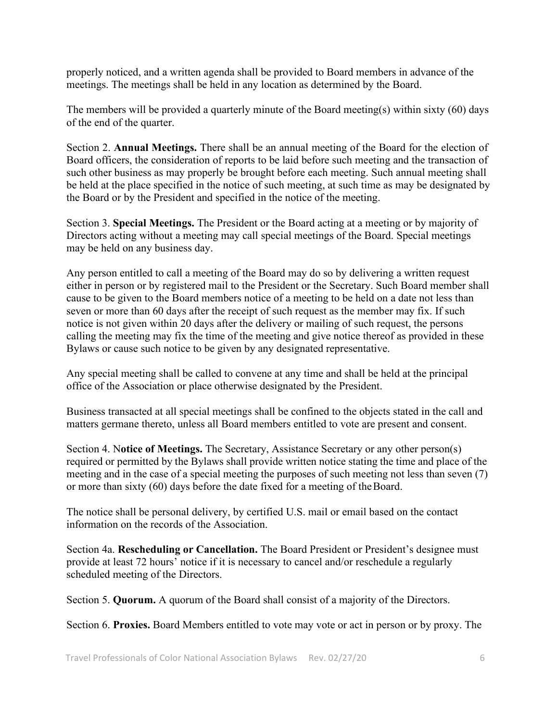properly noticed, and a written agenda shall be provided to Board members in advance of the meetings. The meetings shall be held in any location as determined by the Board.

The members will be provided a quarterly minute of the Board meeting(s) within sixty (60) days of the end of the quarter.

Section 2. **Annual Meetings.** There shall be an annual meeting of the Board for the election of Board officers, the consideration of reports to be laid before such meeting and the transaction of such other business as may properly be brought before each meeting. Such annual meeting shall be held at the place specified in the notice of such meeting, at such time as may be designated by the Board or by the President and specified in the notice of the meeting.

Section 3. **Special Meetings.** The President or the Board acting at a meeting or by majority of Directors acting without a meeting may call special meetings of the Board. Special meetings may be held on any business day.

Any person entitled to call a meeting of the Board may do so by delivering a written request either in person or by registered mail to the President or the Secretary. Such Board member shall cause to be given to the Board members notice of a meeting to be held on a date not less than seven or more than 60 days after the receipt of such request as the member may fix. If such notice is not given within 20 days after the delivery or mailing of such request, the persons calling the meeting may fix the time of the meeting and give notice thereof as provided in these Bylaws or cause such notice to be given by any designated representative.

Any special meeting shall be called to convene at any time and shall be held at the principal office of the Association or place otherwise designated by the President.

Business transacted at all special meetings shall be confined to the objects stated in the call and matters germane thereto, unless all Board members entitled to vote are present and consent.

Section 4. N**otice of Meetings.** The Secretary, Assistance Secretary or any other person(s) required or permitted by the Bylaws shall provide written notice stating the time and place of the meeting and in the case of a special meeting the purposes of such meeting not less than seven (7) or more than sixty (60) days before the date fixed for a meeting of theBoard.

The notice shall be personal delivery, by certified U.S. mail or email based on the contact information on the records of the Association.

Section 4a. **Rescheduling or Cancellation.** The Board President or President's designee must provide at least 72 hours' notice if it is necessary to cancel and/or reschedule a regularly scheduled meeting of the Directors.

Section 5. **Quorum.** A quorum of the Board shall consist of a majority of the Directors.

Section 6. **Proxies.** Board Members entitled to vote may vote or act in person or by proxy. The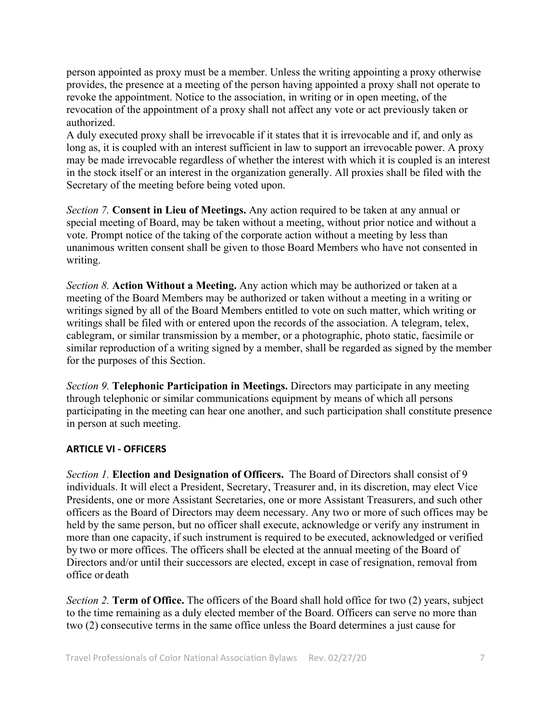person appointed as proxy must be a member. Unless the writing appointing a proxy otherwise provides, the presence at a meeting of the person having appointed a proxy shall not operate to revoke the appointment. Notice to the association, in writing or in open meeting, of the revocation of the appointment of a proxy shall not affect any vote or act previously taken or authorized.

A duly executed proxy shall be irrevocable if it states that it is irrevocable and if, and only as long as, it is coupled with an interest sufficient in law to support an irrevocable power. A proxy may be made irrevocable regardless of whether the interest with which it is coupled is an interest in the stock itself or an interest in the organization generally. All proxies shall be filed with the Secretary of the meeting before being voted upon.

*Section 7.* **Consent in Lieu of Meetings.** Any action required to be taken at any annual or special meeting of Board, may be taken without a meeting, without prior notice and without a vote. Prompt notice of the taking of the corporate action without a meeting by less than unanimous written consent shall be given to those Board Members who have not consented in writing.

*Section 8.* **Action Without a Meeting.** Any action which may be authorized or taken at a meeting of the Board Members may be authorized or taken without a meeting in a writing or writings signed by all of the Board Members entitled to vote on such matter, which writing or writings shall be filed with or entered upon the records of the association. A telegram, telex, cablegram, or similar transmission by a member, or a photographic, photo static, facsimile or similar reproduction of a writing signed by a member, shall be regarded as signed by the member for the purposes of this Section.

*Section 9.* **Telephonic Participation in Meetings.** Directors may participate in any meeting through telephonic or similar communications equipment by means of which all persons participating in the meeting can hear one another, and such participation shall constitute presence in person at such meeting.

### **ARTICLE VI - OFFICERS**

*Section 1.* **Election and Designation of Officers.** The Board of Directors shall consist of 9 individuals. It will elect a President, Secretary, Treasurer and, in its discretion, may elect Vice Presidents, one or more Assistant Secretaries, one or more Assistant Treasurers, and such other officers as the Board of Directors may deem necessary. Any two or more of such offices may be held by the same person, but no officer shall execute, acknowledge or verify any instrument in more than one capacity, if such instrument is required to be executed, acknowledged or verified by two or more offices. The officers shall be elected at the annual meeting of the Board of Directors and/or until their successors are elected, except in case of resignation, removal from office or death

*Section 2.* **Term of Office.** The officers of the Board shall hold office for two (2) years, subject to the time remaining as a duly elected member of the Board. Officers can serve no more than two (2) consecutive terms in the same office unless the Board determines a just cause for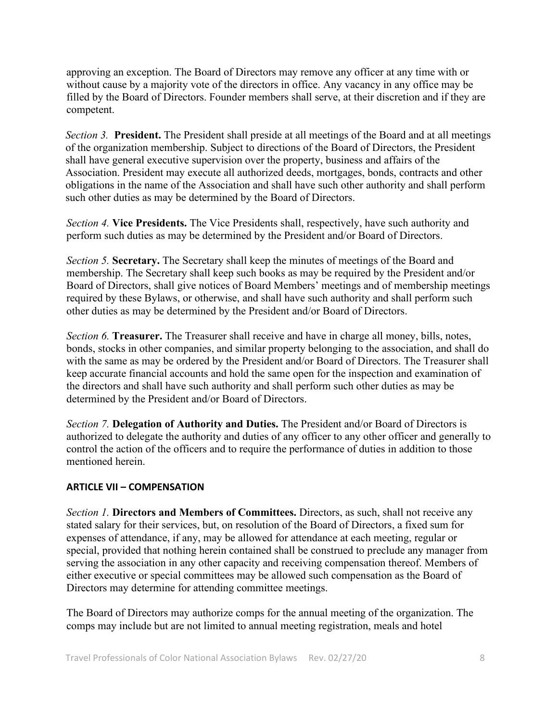approving an exception. The Board of Directors may remove any officer at any time with or without cause by a majority vote of the directors in office. Any vacancy in any office may be filled by the Board of Directors. Founder members shall serve, at their discretion and if they are competent.

*Section 3.* **President.** The President shall preside at all meetings of the Board and at all meetings of the organization membership. Subject to directions of the Board of Directors, the President shall have general executive supervision over the property, business and affairs of the Association. President may execute all authorized deeds, mortgages, bonds, contracts and other obligations in the name of the Association and shall have such other authority and shall perform such other duties as may be determined by the Board of Directors.

*Section 4.* **Vice Presidents.** The Vice Presidents shall, respectively, have such authority and perform such duties as may be determined by the President and/or Board of Directors.

*Section 5.* **Secretary.** The Secretary shall keep the minutes of meetings of the Board and membership. The Secretary shall keep such books as may be required by the President and/or Board of Directors, shall give notices of Board Members' meetings and of membership meetings required by these Bylaws, or otherwise, and shall have such authority and shall perform such other duties as may be determined by the President and/or Board of Directors.

*Section 6.* **Treasurer.** The Treasurer shall receive and have in charge all money, bills, notes, bonds, stocks in other companies, and similar property belonging to the association, and shall do with the same as may be ordered by the President and/or Board of Directors. The Treasurer shall keep accurate financial accounts and hold the same open for the inspection and examination of the directors and shall have such authority and shall perform such other duties as may be determined by the President and/or Board of Directors.

*Section 7.* **Delegation of Authority and Duties.** The President and/or Board of Directors is authorized to delegate the authority and duties of any officer to any other officer and generally to control the action of the officers and to require the performance of duties in addition to those mentioned herein.

#### **ARTICLE VII – COMPENSATION**

*Section 1.* **Directors and Members of Committees.** Directors, as such, shall not receive any stated salary for their services, but, on resolution of the Board of Directors, a fixed sum for expenses of attendance, if any, may be allowed for attendance at each meeting, regular or special, provided that nothing herein contained shall be construed to preclude any manager from serving the association in any other capacity and receiving compensation thereof. Members of either executive or special committees may be allowed such compensation as the Board of Directors may determine for attending committee meetings.

The Board of Directors may authorize comps for the annual meeting of the organization. The comps may include but are not limited to annual meeting registration, meals and hotel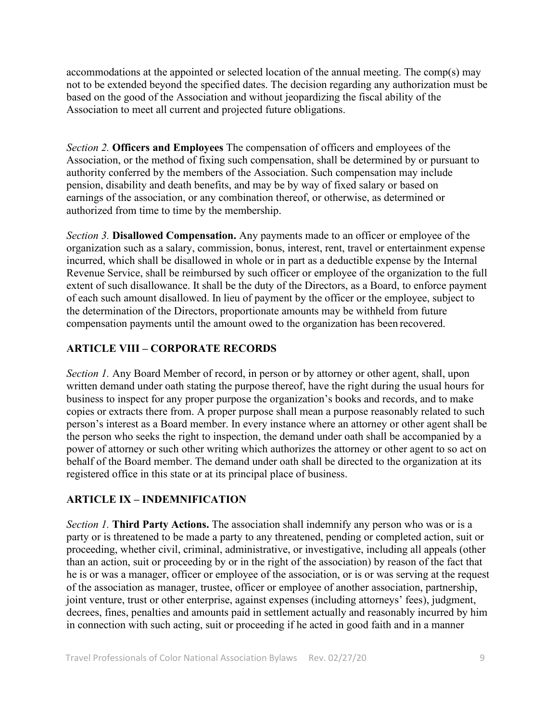accommodations at the appointed or selected location of the annual meeting. The comp(s) may not to be extended beyond the specified dates. The decision regarding any authorization must be based on the good of the Association and without jeopardizing the fiscal ability of the Association to meet all current and projected future obligations.

*Section 2.* **Officers and Employees** The compensation of officers and employees of the Association, or the method of fixing such compensation, shall be determined by or pursuant to authority conferred by the members of the Association. Such compensation may include pension, disability and death benefits, and may be by way of fixed salary or based on earnings of the association, or any combination thereof, or otherwise, as determined or authorized from time to time by the membership.

*Section 3.* **Disallowed Compensation.** Any payments made to an officer or employee of the organization such as a salary, commission, bonus, interest, rent, travel or entertainment expense incurred, which shall be disallowed in whole or in part as a deductible expense by the Internal Revenue Service, shall be reimbursed by such officer or employee of the organization to the full extent of such disallowance. It shall be the duty of the Directors, as a Board, to enforce payment of each such amount disallowed. In lieu of payment by the officer or the employee, subject to the determination of the Directors, proportionate amounts may be withheld from future compensation payments until the amount owed to the organization has been recovered.

### **ARTICLE VIII – CORPORATE RECORDS**

*Section 1.* Any Board Member of record, in person or by attorney or other agent, shall, upon written demand under oath stating the purpose thereof, have the right during the usual hours for business to inspect for any proper purpose the organization's books and records, and to make copies or extracts there from. A proper purpose shall mean a purpose reasonably related to such person's interest as a Board member. In every instance where an attorney or other agent shall be the person who seeks the right to inspection, the demand under oath shall be accompanied by a power of attorney or such other writing which authorizes the attorney or other agent to so act on behalf of the Board member. The demand under oath shall be directed to the organization at its registered office in this state or at its principal place of business.

### **ARTICLE IX – INDEMNIFICATION**

*Section 1.* **Third Party Actions.** The association shall indemnify any person who was or is a party or is threatened to be made a party to any threatened, pending or completed action, suit or proceeding, whether civil, criminal, administrative, or investigative, including all appeals (other than an action, suit or proceeding by or in the right of the association) by reason of the fact that he is or was a manager, officer or employee of the association, or is or was serving at the request of the association as manager, trustee, officer or employee of another association, partnership, joint venture, trust or other enterprise, against expenses (including attorneys' fees), judgment, decrees, fines, penalties and amounts paid in settlement actually and reasonably incurred by him in connection with such acting, suit or proceeding if he acted in good faith and in a manner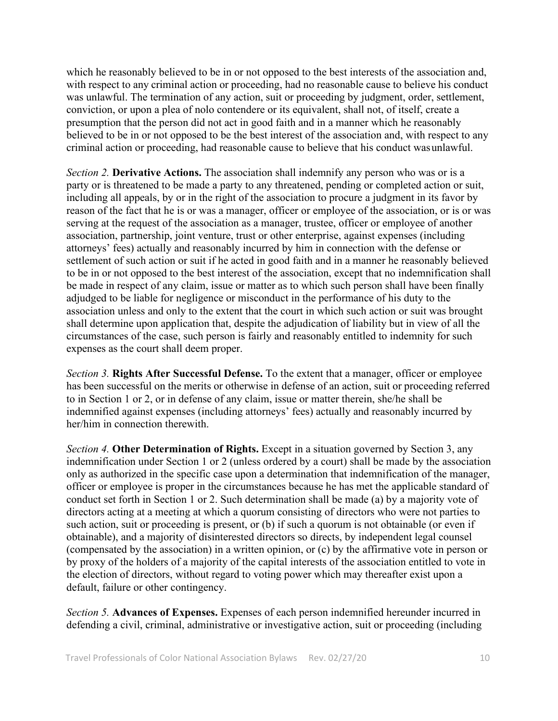which he reasonably believed to be in or not opposed to the best interests of the association and, with respect to any criminal action or proceeding, had no reasonable cause to believe his conduct was unlawful. The termination of any action, suit or proceeding by judgment, order, settlement, conviction, or upon a plea of nolo contendere or its equivalent, shall not, of itself, create a presumption that the person did not act in good faith and in a manner which he reasonably believed to be in or not opposed to be the best interest of the association and, with respect to any criminal action or proceeding, had reasonable cause to believe that his conduct wasunlawful.

*Section 2.* **Derivative Actions.** The association shall indemnify any person who was or is a party or is threatened to be made a party to any threatened, pending or completed action or suit, including all appeals, by or in the right of the association to procure a judgment in its favor by reason of the fact that he is or was a manager, officer or employee of the association, or is or was serving at the request of the association as a manager, trustee, officer or employee of another association, partnership, joint venture, trust or other enterprise, against expenses (including attorneys' fees) actually and reasonably incurred by him in connection with the defense or settlement of such action or suit if he acted in good faith and in a manner he reasonably believed to be in or not opposed to the best interest of the association, except that no indemnification shall be made in respect of any claim, issue or matter as to which such person shall have been finally adjudged to be liable for negligence or misconduct in the performance of his duty to the association unless and only to the extent that the court in which such action or suit was brought shall determine upon application that, despite the adjudication of liability but in view of all the circumstances of the case, such person is fairly and reasonably entitled to indemnity for such expenses as the court shall deem proper.

*Section 3.* **Rights After Successful Defense.** To the extent that a manager, officer or employee has been successful on the merits or otherwise in defense of an action, suit or proceeding referred to in Section 1 or 2, or in defense of any claim, issue or matter therein, she/he shall be indemnified against expenses (including attorneys' fees) actually and reasonably incurred by her/him in connection therewith.

*Section 4.* **Other Determination of Rights.** Except in a situation governed by Section 3, any indemnification under Section 1 or 2 (unless ordered by a court) shall be made by the association only as authorized in the specific case upon a determination that indemnification of the manager, officer or employee is proper in the circumstances because he has met the applicable standard of conduct set forth in Section 1 or 2. Such determination shall be made (a) by a majority vote of directors acting at a meeting at which a quorum consisting of directors who were not parties to such action, suit or proceeding is present, or (b) if such a quorum is not obtainable (or even if obtainable), and a majority of disinterested directors so directs, by independent legal counsel (compensated by the association) in a written opinion, or (c) by the affirmative vote in person or by proxy of the holders of a majority of the capital interests of the association entitled to vote in the election of directors, without regard to voting power which may thereafter exist upon a default, failure or other contingency.

*Section 5.* **Advances of Expenses.** Expenses of each person indemnified hereunder incurred in defending a civil, criminal, administrative or investigative action, suit or proceeding (including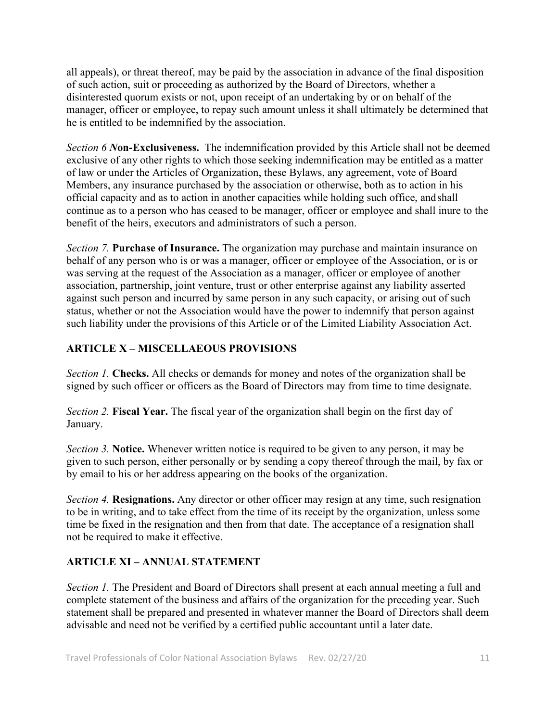all appeals), or threat thereof, may be paid by the association in advance of the final disposition of such action, suit or proceeding as authorized by the Board of Directors, whether a disinterested quorum exists or not, upon receipt of an undertaking by or on behalf of the manager, officer or employee, to repay such amount unless it shall ultimately be determined that he is entitled to be indemnified by the association.

*Section 6 N***on-Exclusiveness.** The indemnification provided by this Article shall not be deemed exclusive of any other rights to which those seeking indemnification may be entitled as a matter of law or under the Articles of Organization, these Bylaws, any agreement, vote of Board Members, any insurance purchased by the association or otherwise, both as to action in his official capacity and as to action in another capacities while holding such office, andshall continue as to a person who has ceased to be manager, officer or employee and shall inure to the benefit of the heirs, executors and administrators of such a person.

*Section 7.* **Purchase of Insurance.** The organization may purchase and maintain insurance on behalf of any person who is or was a manager, officer or employee of the Association, or is or was serving at the request of the Association as a manager, officer or employee of another association, partnership, joint venture, trust or other enterprise against any liability asserted against such person and incurred by same person in any such capacity, or arising out of such status, whether or not the Association would have the power to indemnify that person against such liability under the provisions of this Article or of the Limited Liability Association Act.

### **ARTICLE X – MISCELLAEOUS PROVISIONS**

*Section 1.* **Checks.** All checks or demands for money and notes of the organization shall be signed by such officer or officers as the Board of Directors may from time to time designate.

*Section 2.* **Fiscal Year.** The fiscal year of the organization shall begin on the first day of January.

*Section 3.* **Notice.** Whenever written notice is required to be given to any person, it may be given to such person, either personally or by sending a copy thereof through the mail, by fax or by email to his or her address appearing on the books of the organization.

*Section 4.* **Resignations.** Any director or other officer may resign at any time, such resignation to be in writing, and to take effect from the time of its receipt by the organization, unless some time be fixed in the resignation and then from that date. The acceptance of a resignation shall not be required to make it effective.

### **ARTICLE XI – ANNUAL STATEMENT**

*Section 1.* The President and Board of Directors shall present at each annual meeting a full and complete statement of the business and affairs of the organization for the preceding year. Such statement shall be prepared and presented in whatever manner the Board of Directors shall deem advisable and need not be verified by a certified public accountant until a later date.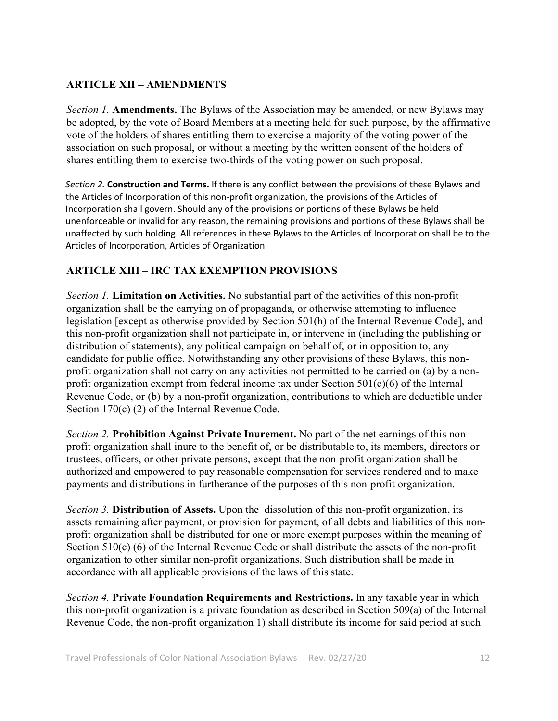### **ARTICLE XII – AMENDMENTS**

*Section 1.* **Amendments.** The Bylaws of the Association may be amended, or new Bylaws may be adopted, by the vote of Board Members at a meeting held for such purpose, by the affirmative vote of the holders of shares entitling them to exercise a majority of the voting power of the association on such proposal, or without a meeting by the written consent of the holders of shares entitling them to exercise two-thirds of the voting power on such proposal.

*Section 2.* **Construction and Terms.** If there is any conflict between the provisions of these Bylaws and the Articles of Incorporation of this non-profit organization, the provisions of the Articles of Incorporation shall govern. Should any of the provisions or portions of these Bylaws be held unenforceable or invalid for any reason, the remaining provisions and portions of these Bylaws shall be unaffected by such holding. All references in these Bylaws to the Articles of Incorporation shall be to the Articles of Incorporation, Articles of Organization

### **ARTICLE XIII – IRC TAX EXEMPTION PROVISIONS**

*Section 1.* **Limitation on Activities.** No substantial part of the activities of this non-profit organization shall be the carrying on of propaganda, or otherwise attempting to influence legislation [except as otherwise provided by Section 501(h) of the Internal Revenue Code], and this non-profit organization shall not participate in, or intervene in (including the publishing or distribution of statements), any political campaign on behalf of, or in opposition to, any candidate for public office. Notwithstanding any other provisions of these Bylaws, this nonprofit organization shall not carry on any activities not permitted to be carried on (a) by a nonprofit organization exempt from federal income tax under Section  $501(c)(6)$  of the Internal Revenue Code, or (b) by a non-profit organization, contributions to which are deductible under Section 170(c) (2) of the Internal Revenue Code.

*Section 2.* **Prohibition Against Private Inurement.** No part of the net earnings of this nonprofit organization shall inure to the benefit of, or be distributable to, its members, directors or trustees, officers, or other private persons, except that the non-profit organization shall be authorized and empowered to pay reasonable compensation for services rendered and to make payments and distributions in furtherance of the purposes of this non-profit organization.

*Section 3.* **Distribution of Assets.** Upon the dissolution of this non-profit organization, its assets remaining after payment, or provision for payment, of all debts and liabilities of this nonprofit organization shall be distributed for one or more exempt purposes within the meaning of Section 510(c) (6) of the Internal Revenue Code or shall distribute the assets of the non-profit organization to other similar non-profit organizations. Such distribution shall be made in accordance with all applicable provisions of the laws of this state.

*Section 4.* **Private Foundation Requirements and Restrictions.** In any taxable year in which this non-profit organization is a private foundation as described in Section 509(a) of the Internal Revenue Code, the non-profit organization 1) shall distribute its income for said period at such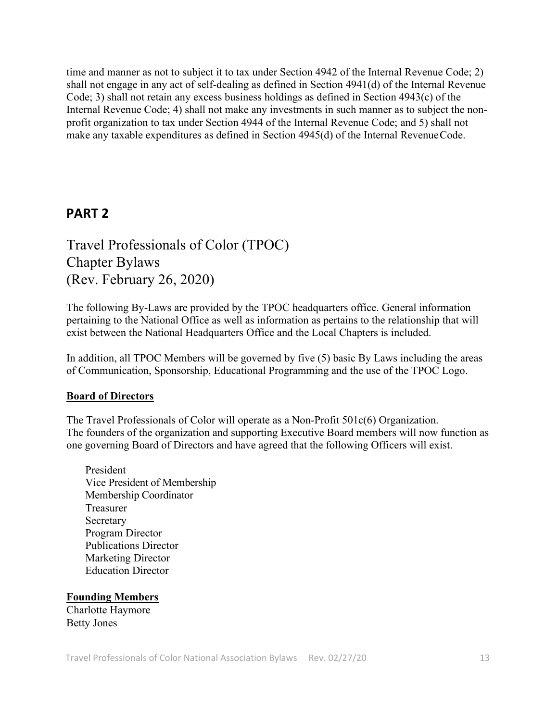time and manner as not to subject it to tax under Section 4942 of the Internal Revenue Code; 2) shall not engage in any act of self-dealing as defined in Section 4941(d) of the Internal Revenue Code; 3) shall not retain any excess business holdings as defined in Section 4943(c) of the Internal Revenue Code; 4) shall not make any investments in such manner as to subject the nonprofit organization to tax under Section 4944 of the Internal Revenue Code; and 5) shall not make any taxable expenditures as defined in Section 4945(d) of the Internal RevenueCode.

## **PART 2**

Travel Professionals of Color (TPOC) Chapter Bylaws (Rev. February 26, 2020)

The following By-Laws are provided by the TPOC headquarters office. General information pertaining to the National Office as well as information as pertains to the relationship that will exist between the National Headquarters Office and the Local Chapters is included.

In addition, all TPOC Members will be governed by five (5) basic By Laws including the areas of Communication, Sponsorship, Educational Programming and the use of the TPOC Logo.

#### **Board of Directors**

The Travel Professionals of Color will operate as a Non-Profit 501c(6) Organization. The founders of the organization and supporting Executive Board members will now function as one governing Board of Directors and have agreed that the following Officers will exist.

President Vice President of Membership Membership Coordinator Treasurer Secretary Program Director Publications Director Marketing Director Education Director

**Founding Members** Charlotte Haymore Betty Jones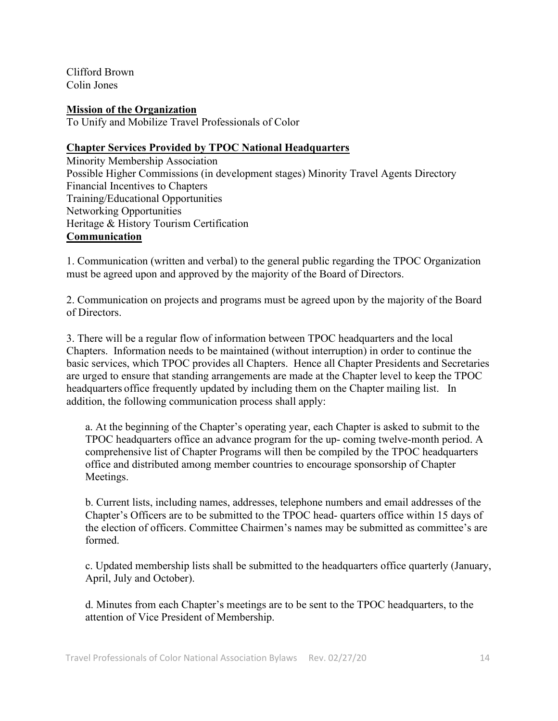Clifford Brown Colin Jones

**Mission of the Organization**

To Unify and Mobilize Travel Professionals of Color

### **Chapter Services Provided by TPOC National Headquarters**

Minority Membership Association Possible Higher Commissions (in development stages) Minority Travel Agents Directory Financial Incentives to Chapters Training/Educational Opportunities Networking Opportunities Heritage & History Tourism Certification **Communication**

1. Communication (written and verbal) to the general public regarding the TPOC Organization must be agreed upon and approved by the majority of the Board of Directors.

2. Communication on projects and programs must be agreed upon by the majority of the Board of Directors.

3. There will be a regular flow of information between TPOC headquarters and the local Chapters. Information needs to be maintained (without interruption) in order to continue the basic services, which TPOC provides all Chapters. Hence all Chapter Presidents and Secretaries are urged to ensure that standing arrangements are made at the Chapter level to keep the TPOC headquarters office frequently updated by including them on the Chapter mailing list. In addition, the following communication process shall apply:

a. At the beginning of the Chapter's operating year, each Chapter is asked to submit to the TPOC headquarters office an advance program for the up- coming twelve-month period. A comprehensive list of Chapter Programs will then be compiled by the TPOC headquarters office and distributed among member countries to encourage sponsorship of Chapter Meetings.

b. Current lists, including names, addresses, telephone numbers and email addresses of the Chapter's Officers are to be submitted to the TPOC head- quarters office within 15 days of the election of officers. Committee Chairmen's names may be submitted as committee's are formed.

c. Updated membership lists shall be submitted to the headquarters office quarterly (January, April, July and October).

d. Minutes from each Chapter's meetings are to be sent to the TPOC headquarters, to the attention of Vice President of Membership.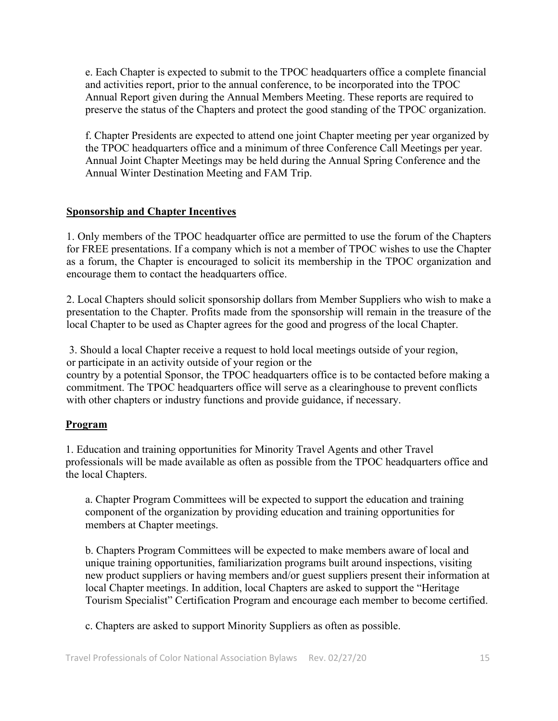e. Each Chapter is expected to submit to the TPOC headquarters office a complete financial and activities report, prior to the annual conference, to be incorporated into the TPOC Annual Report given during the Annual Members Meeting. These reports are required to preserve the status of the Chapters and protect the good standing of the TPOC organization.

f. Chapter Presidents are expected to attend one joint Chapter meeting per year organized by the TPOC headquarters office and a minimum of three Conference Call Meetings per year. Annual Joint Chapter Meetings may be held during the Annual Spring Conference and the Annual Winter Destination Meeting and FAM Trip.

#### **Sponsorship and Chapter Incentives**

1. Only members of the TPOC headquarter office are permitted to use the forum of the Chapters for FREE presentations. If a company which is not a member of TPOC wishes to use the Chapter as a forum, the Chapter is encouraged to solicit its membership in the TPOC organization and encourage them to contact the headquarters office.

2. Local Chapters should solicit sponsorship dollars from Member Suppliers who wish to make a presentation to the Chapter. Profits made from the sponsorship will remain in the treasure of the local Chapter to be used as Chapter agrees for the good and progress of the local Chapter.

3. Should a local Chapter receive a request to hold local meetings outside of your region, or participate in an activity outside of your region or the country by a potential Sponsor, the TPOC headquarters office is to be contacted before making a commitment. The TPOC headquarters office will serve as a clearinghouse to prevent conflicts

with other chapters or industry functions and provide guidance, if necessary.

#### **Program**

1. Education and training opportunities for Minority Travel Agents and other Travel professionals will be made available as often as possible from the TPOC headquarters office and the local Chapters.

a. Chapter Program Committees will be expected to support the education and training component of the organization by providing education and training opportunities for members at Chapter meetings.

b. Chapters Program Committees will be expected to make members aware of local and unique training opportunities, familiarization programs built around inspections, visiting new product suppliers or having members and/or guest suppliers present their information at local Chapter meetings. In addition, local Chapters are asked to support the "Heritage Tourism Specialist" Certification Program and encourage each member to become certified.

c. Chapters are asked to support Minority Suppliers as often as possible.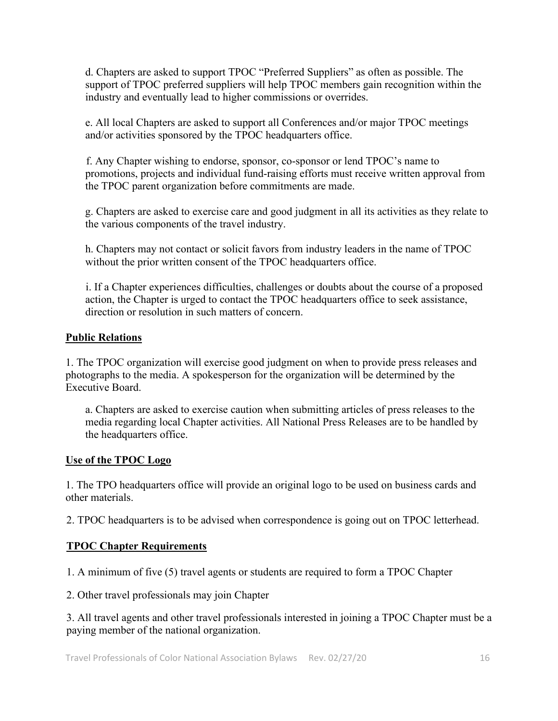d. Chapters are asked to support TPOC "Preferred Suppliers" as often as possible. The support of TPOC preferred suppliers will help TPOC members gain recognition within the industry and eventually lead to higher commissions or overrides.

e. All local Chapters are asked to support all Conferences and/or major TPOC meetings and/or activities sponsored by the TPOC headquarters office.

f. Any Chapter wishing to endorse, sponsor, co-sponsor or lend TPOC's name to promotions, projects and individual fund-raising efforts must receive written approval from the TPOC parent organization before commitments are made.

g. Chapters are asked to exercise care and good judgment in all its activities as they relate to the various components of the travel industry.

h. Chapters may not contact or solicit favors from industry leaders in the name of TPOC without the prior written consent of the TPOC headquarters office.

i. If a Chapter experiences difficulties, challenges or doubts about the course of a proposed action, the Chapter is urged to contact the TPOC headquarters office to seek assistance, direction or resolution in such matters of concern.

### **Public Relations**

1. The TPOC organization will exercise good judgment on when to provide press releases and photographs to the media. A spokesperson for the organization will be determined by the Executive Board.

a. Chapters are asked to exercise caution when submitting articles of press releases to the media regarding local Chapter activities. All National Press Releases are to be handled by the headquarters office.

### **Use of the TPOC Logo**

1. The TPO headquarters office will provide an original logo to be used on business cards and other materials.

2. TPOC headquarters is to be advised when correspondence is going out on TPOC letterhead.

### **TPOC Chapter Requirements**

1. A minimum of five (5) travel agents or students are required to form a TPOC Chapter

2. Other travel professionals may join Chapter

3. All travel agents and other travel professionals interested in joining a TPOC Chapter must be a paying member of the national organization.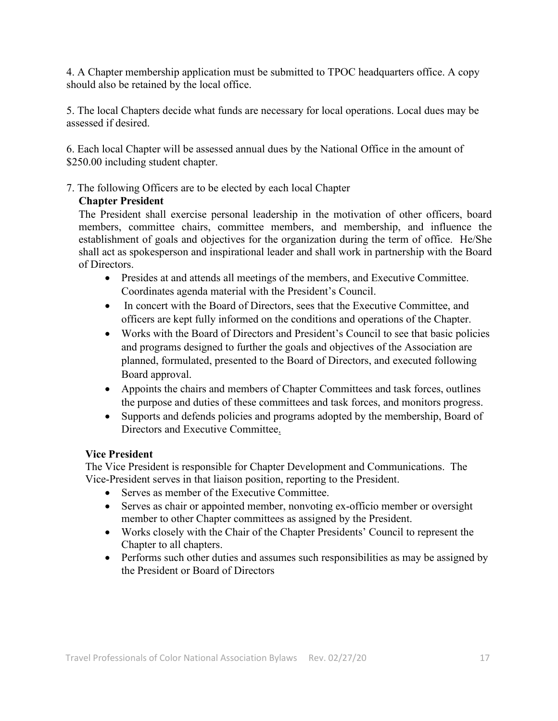4. A Chapter membership application must be submitted to TPOC headquarters office. A copy should also be retained by the local office.

5. The local Chapters decide what funds are necessary for local operations. Local dues may be assessed if desired.

6. Each local Chapter will be assessed annual dues by the National Office in the amount of \$250.00 including student chapter.

7. The following Officers are to be elected by each local Chapter

### **Chapter President**

The President shall exercise personal leadership in the motivation of other officers, board members, committee chairs, committee members, and membership, and influence the establishment of goals and objectives for the organization during the term of office. He/She shall act as spokesperson and inspirational leader and shall work in partnership with the Board of Directors.

- Presides at and attends all meetings of the members, and Executive Committee. Coordinates agenda material with the President's Council.
- In concert with the Board of Directors, sees that the Executive Committee, and officers are kept fully informed on the conditions and operations of the Chapter.
- Works with the Board of Directors and President's Council to see that basic policies and programs designed to further the goals and objectives of the Association are planned, formulated, presented to the Board of Directors, and executed following Board approval.
- Appoints the chairs and members of Chapter Committees and task forces, outlines the purpose and duties of these committees and task forces, and monitors progress.
- Supports and defends policies and programs adopted by the membership, Board of Directors and Executive Committee.

### **Vice President**

The Vice President is responsible for Chapter Development and Communications. The Vice-President serves in that liaison position, reporting to the President.

- Serves as member of the Executive Committee.
- Serves as chair or appointed member, nonvoting ex-officio member or oversight member to other Chapter committees as assigned by the President.
- Works closely with the Chair of the Chapter Presidents' Council to represent the Chapter to all chapters.
- Performs such other duties and assumes such responsibilities as may be assigned by the President or Board of Directors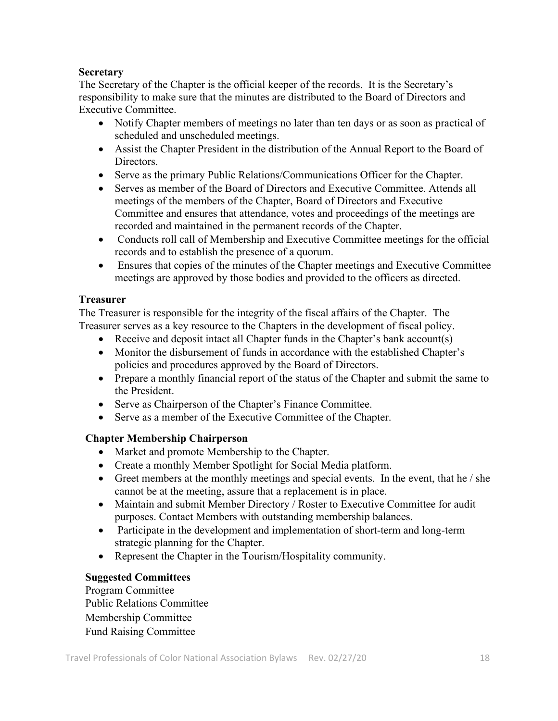### **Secretary**

The Secretary of the Chapter is the official keeper of the records. It is the Secretary's responsibility to make sure that the minutes are distributed to the Board of Directors and Executive Committee.

- Notify Chapter members of meetings no later than ten days or as soon as practical of scheduled and unscheduled meetings.
- Assist the Chapter President in the distribution of the Annual Report to the Board of Directors.
- Serve as the primary Public Relations/Communications Officer for the Chapter.
- Serves as member of the Board of Directors and Executive Committee. Attends all meetings of the members of the Chapter, Board of Directors and Executive Committee and ensures that attendance, votes and proceedings of the meetings are recorded and maintained in the permanent records of the Chapter.
- Conducts roll call of Membership and Executive Committee meetings for the official records and to establish the presence of a quorum.
- Ensures that copies of the minutes of the Chapter meetings and Executive Committee meetings are approved by those bodies and provided to the officers as directed.

#### **Treasurer**

The Treasurer is responsible for the integrity of the fiscal affairs of the Chapter. The Treasurer serves as a key resource to the Chapters in the development of fiscal policy.

- Receive and deposit intact all Chapter funds in the Chapter's bank account(s)
- Monitor the disbursement of funds in accordance with the established Chapter's policies and procedures approved by the Board of Directors.
- Prepare a monthly financial report of the status of the Chapter and submit the same to the President.
- Serve as Chairperson of the Chapter's Finance Committee.
- Serve as a member of the Executive Committee of the Chapter.

### **Chapter Membership Chairperson**

- Market and promote Membership to the Chapter.
- Create a monthly Member Spotlight for Social Media platform.
- Greet members at the monthly meetings and special events. In the event, that he / she cannot be at the meeting, assure that a replacement is in place.
- Maintain and submit Member Directory / Roster to Executive Committee for audit purposes. Contact Members with outstanding membership balances.
- Participate in the development and implementation of short-term and long-term strategic planning for the Chapter.
- Represent the Chapter in the Tourism/Hospitality community.

### **Suggested Committees**

Program Committee Public Relations Committee Membership Committee Fund Raising Committee